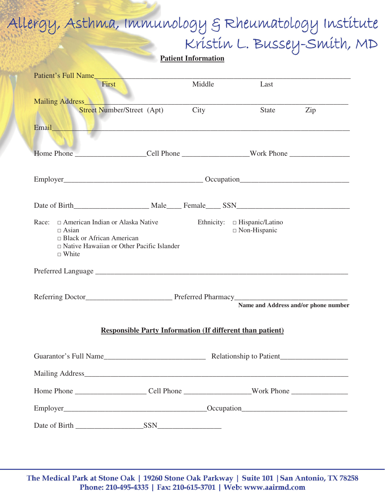| <b>Patient Information</b> |
|----------------------------|
|                            |

| Patient's Full Name                                                                                                                                                                                                           |                                   |                                                                  |                                                          |                                      |
|-------------------------------------------------------------------------------------------------------------------------------------------------------------------------------------------------------------------------------|-----------------------------------|------------------------------------------------------------------|----------------------------------------------------------|--------------------------------------|
| First                                                                                                                                                                                                                         |                                   | Middle                                                           | Last                                                     |                                      |
| Mailing Address                                                                                                                                                                                                               | <b>Street Number/Street</b> (Apt) | City                                                             | State                                                    | Zip                                  |
| Email and the contract of the contract of the contract of the contract of the contract of the contract of the contract of the contract of the contract of the contract of the contract of the contract of the contract of the |                                   |                                                                  |                                                          |                                      |
|                                                                                                                                                                                                                               |                                   |                                                                  |                                                          |                                      |
| Home Phone _____________________Cell Phone ______________________Work Phone __________________________________                                                                                                                |                                   |                                                                  |                                                          |                                      |
|                                                                                                                                                                                                                               |                                   |                                                                  |                                                          |                                      |
|                                                                                                                                                                                                                               |                                   |                                                                  |                                                          |                                      |
| Race:<br>$\Box$ American Indian or Alaska Native<br>$\Box$ Asian<br>$\Box$ Black or African American<br>$\Box$ Native Hawaiian or Other Pacific Islander<br>$\Box$ White                                                      |                                   |                                                                  | Ethnicity: $\Box$ Hispanic/Latino<br>$\Box$ Non-Hispanic |                                      |
|                                                                                                                                                                                                                               |                                   |                                                                  |                                                          |                                      |
|                                                                                                                                                                                                                               |                                   |                                                                  |                                                          | Name and Address and/or phone number |
|                                                                                                                                                                                                                               |                                   | <b>Responsible Party Information (If different than patient)</b> |                                                          |                                      |
|                                                                                                                                                                                                                               |                                   |                                                                  |                                                          |                                      |
| Mailing Address Management of the Mailing Address Mailing Address Mailing Address                                                                                                                                             |                                   |                                                                  |                                                          |                                      |
|                                                                                                                                                                                                                               |                                   |                                                                  |                                                          |                                      |
|                                                                                                                                                                                                                               |                                   |                                                                  |                                                          |                                      |
|                                                                                                                                                                                                                               |                                   |                                                                  |                                                          |                                      |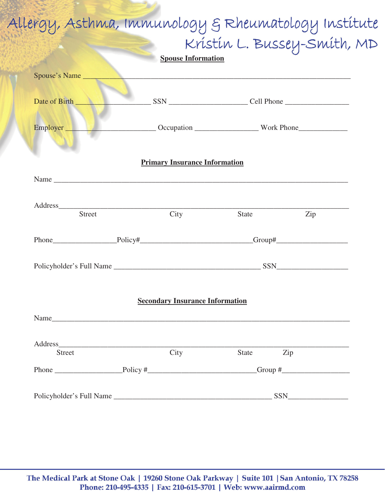| Hlergy, Asthma, Immunology & Rheumatology Institute<br>Kristin L. Bussey-Smith, MD                                                                                                                                             |                                        |                                                                                                                  |     |
|--------------------------------------------------------------------------------------------------------------------------------------------------------------------------------------------------------------------------------|----------------------------------------|------------------------------------------------------------------------------------------------------------------|-----|
|                                                                                                                                                                                                                                | <b>Spouse Information</b>              |                                                                                                                  |     |
| Spouse's Name                                                                                                                                                                                                                  |                                        | and the control of the control of the control of the control of the control of the control of the control of the |     |
|                                                                                                                                                                                                                                |                                        |                                                                                                                  |     |
| Date of Birth                                                                                                                                                                                                                  |                                        |                                                                                                                  |     |
| Employer Maria Company Compation Maria Mork Phone                                                                                                                                                                              |                                        |                                                                                                                  |     |
|                                                                                                                                                                                                                                |                                        |                                                                                                                  |     |
|                                                                                                                                                                                                                                | <b>Primary Insurance Information</b>   |                                                                                                                  |     |
| Name $\Box$                                                                                                                                                                                                                    |                                        |                                                                                                                  |     |
|                                                                                                                                                                                                                                |                                        |                                                                                                                  |     |
| Street                                                                                                                                                                                                                         | City                                   | State                                                                                                            | Zip |
|                                                                                                                                                                                                                                |                                        |                                                                                                                  |     |
| Phone__________________________Policy#_________________________________Group#_______________________                                                                                                                           |                                        |                                                                                                                  |     |
|                                                                                                                                                                                                                                |                                        |                                                                                                                  |     |
|                                                                                                                                                                                                                                |                                        |                                                                                                                  |     |
|                                                                                                                                                                                                                                |                                        |                                                                                                                  |     |
|                                                                                                                                                                                                                                | <b>Secondary Insurance Information</b> |                                                                                                                  |     |
|                                                                                                                                                                                                                                |                                        |                                                                                                                  |     |
| Address and the contract of the contract of the contract of the contract of the contract of the contract of the contract of the contract of the contract of the contract of the contract of the contract of the contract of th |                                        |                                                                                                                  |     |
| Street                                                                                                                                                                                                                         | City                                   | State Zip                                                                                                        |     |
|                                                                                                                                                                                                                                |                                        |                                                                                                                  |     |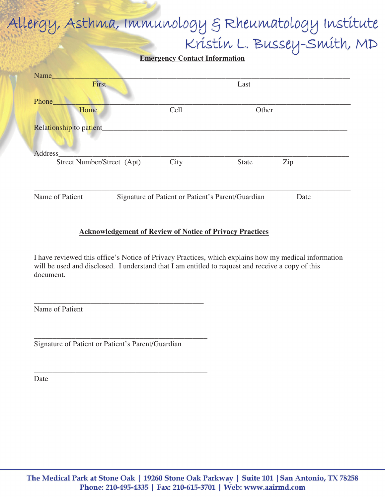**Emergency Contact Information**

| Name                               |      |                                                   |      |
|------------------------------------|------|---------------------------------------------------|------|
| First                              |      | Last                                              |      |
| Phone                              |      |                                                   |      |
| Home                               | Cell | Other                                             |      |
| Relationship to patient<br>Address |      |                                                   |      |
| Street Number/Street (Apt)         | City | <b>State</b>                                      | Zip  |
|                                    |      |                                                   |      |
| Name of Patient                    |      | Signature of Patient or Patient's Parent/Guardian | Date |

#### **Acknowledgement of Review of Notice of Privacy Practices**

I have reviewed this office's Notice of Privacy Practices, which explains how my medical information will be used and disclosed. I understand that I am entitled to request and receive a copy of this document.

Name of Patient

Signature of Patient or Patient's Parent/Guardian

\_\_\_\_\_\_\_\_\_\_\_\_\_\_\_\_\_\_\_\_\_\_\_\_\_\_\_\_\_\_\_\_\_\_\_\_\_\_\_\_\_\_\_\_\_

\_\_\_\_\_\_\_\_\_\_\_\_\_\_\_\_\_\_\_\_\_\_\_\_\_\_\_\_\_\_\_\_\_\_\_\_\_\_\_\_\_\_\_\_\_\_

\_\_\_\_\_\_\_\_\_\_\_\_\_\_\_\_\_\_\_\_\_\_\_\_\_\_\_\_\_\_\_\_\_\_\_\_\_\_\_\_\_\_\_\_\_\_

Date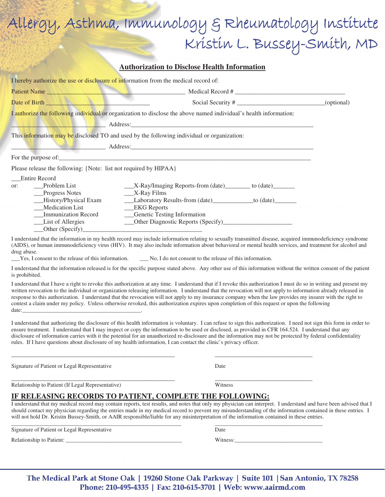#### **Authorization to Disclose Health Information**

|                                                                                                                | I hereby authorize the use or disclosure of information from the medical record of:                                                                                                                                            |  |  |
|----------------------------------------------------------------------------------------------------------------|--------------------------------------------------------------------------------------------------------------------------------------------------------------------------------------------------------------------------------|--|--|
|                                                                                                                |                                                                                                                                                                                                                                |  |  |
| Social Security $\#$ __________________________________(optional)<br>Date of Birth New York and State of Birth |                                                                                                                                                                                                                                |  |  |
|                                                                                                                | I authorize the following individual or organization to disclose the above named individual's health information:                                                                                                              |  |  |
|                                                                                                                | Address: Address: Address: Address: Address: Address: Address: Address: Address: Address: Address: Address: Address: Address: Address: Address: Address: Address: Address: Address: Address: Address: Address: Address: Addres |  |  |
|                                                                                                                | This information may be disclosed TO and used by the following individual or organization:                                                                                                                                     |  |  |
|                                                                                                                | Address: Address: Address: Address: Address: Address: Address: Address: Address: Address: Address: Address: Address: Address: Address: Address: Address: Address: Address: Address: Address: Address: Address: Address: Addres |  |  |
|                                                                                                                |                                                                                                                                                                                                                                |  |  |
| Please release the following: {Note: list not required by HIPAA}                                               |                                                                                                                                                                                                                                |  |  |
| <b>Entire Record</b>                                                                                           |                                                                                                                                                                                                                                |  |  |
| Problem List<br>or:<br>Progress Notes                                                                          | ___X-Ray/Imaging Reports-from (date)________ to (date)________<br>$X-Ray$ Films                                                                                                                                                |  |  |
| __History/Physical Exam<br><b>Medication List</b>                                                              | Laboratory Results-from (date) _______________to (date) _________________________<br>__EKG Reports                                                                                                                             |  |  |
| <b>Immunization Record</b><br>__List of Allergies                                                              | ___Genetic Testing Information                                                                                                                                                                                                 |  |  |
| __Other (Specify)_                                                                                             |                                                                                                                                                                                                                                |  |  |

I understand that the information in my health record may include information relating to sexually transmitted disease, acquired immunodeficiency syndrome (AIDS), or human immunodeficiency virus (HIV). It may also include information about behavioral or mental health services, and treatment for alcohol and drug abuse.

\_\_\_Yes, I consent to the release of this information. \_\_\_ No, I do not consent to the release of this information.

I understand that the information released is for the specific purpose stated above. Any other use of this information without the written consent of the patient is prohibited.

I understand that I have a right to revoke this authorization at any time. I understand that if I revoke this authorization I must do so in writing and present my written revocation to the individual or organization releasing information. I understand that the revocation will not apply to information already released in response to this authorization. I understand that the revocation will not apply to my insurance company when the law provides my insurer with the right to contest a claim under my policy. Unless otherwise revoked, this authorization expires upon completion of this request or upon the following date:\_\_\_\_\_\_\_\_\_\_\_\_\_\_\_\_\_\_\_\_\_\_\_\_\_\_\_\_\_\_\_\_\_\_\_\_\_\_\_\_\_\_.

I understand that authorizing the disclosure of this health information is voluntary. I can refuse to sign this authorization. I need not sign this form in order to ensure treatment. I understand that I may inspect or copy the information to be used or disclosed, as provided in CFR 164.524. I understand that any disclosure of information carries with it the potential for an unauthorized re-disclosure and the information may not be protected by federal confidentiality rules. If I have questions about disclosure of my health information, I can contact the clinic's privacy officer.

Signature of Patient or Legal Representative Date

\_\_\_\_\_\_\_\_\_\_\_\_\_\_\_\_\_\_\_\_\_\_\_\_\_\_\_\_\_\_\_\_\_\_\_\_\_\_\_\_\_\_\_\_\_\_\_\_\_\_\_\_ \_\_\_\_\_\_\_\_\_\_\_\_\_\_\_\_\_\_\_\_\_\_\_\_\_\_\_\_\_\_\_ Relationship to Patient (If Legal Representative) Witness

#### **IF RELEASING RECORDS TO PATIENT, COMPLETE THE FOLLOWING:**

\_\_\_\_\_\_\_\_\_\_\_\_\_\_\_\_\_\_\_\_\_\_\_\_\_\_\_\_\_\_\_\_\_\_\_\_\_\_\_\_\_\_\_\_\_\_\_\_\_\_\_\_ \_\_\_\_\_\_\_\_\_\_\_\_\_\_\_\_\_\_\_\_\_\_\_\_\_\_\_\_\_\_\_

I understand that my medical record may contain reports, test results, and notes that only my physician can interpret. I understand and have been advised that I should contact my physician regarding the entries made in my medical record to prevent my misunderstanding of the information contained in these entries. I will not hold Dr. Kristin Bussey-Smith, or AAIR responsible/liable for any misinterpretation of the information contained in these entries.

Signature of Patient or Legal Representative Date

Relationship to Patient: \_\_\_\_\_\_\_\_\_\_\_\_\_\_\_\_\_\_\_\_\_\_\_\_\_\_\_\_\_\_\_\_\_\_\_\_\_\_\_\_\_ Witness:\_\_\_\_\_\_\_\_\_\_\_\_\_\_\_\_\_\_\_\_\_\_\_\_\_\_\_\_\_\_\_

\_\_\_\_\_\_\_\_\_\_\_\_\_\_\_\_\_\_\_\_\_\_\_\_\_\_\_\_\_\_\_\_\_\_\_\_\_\_\_\_\_\_\_\_\_\_\_\_\_\_\_\_\_\_\_\_\_\_\_\_ \_\_\_\_\_\_\_\_\_\_\_\_\_\_\_\_\_\_\_\_\_\_\_\_\_\_\_\_\_\_\_\_\_\_\_\_\_\_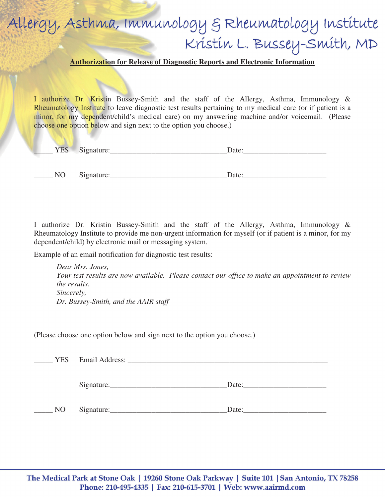### **Authorization for Release of Diagnostic Reports and Electronic Information**

I authorize Dr. Kristin Bussey-Smith and the staff of the Allergy, Asthma, Immunology & Rheumatology Institute to leave diagnostic test results pertaining to my medical care (or if patient is a minor, for my dependent/child's medical care) on my answering machine and/or voicemail. (Please choose one option below and sign next to the option you choose.)

|  | $\overline{\phantom{a}}$<br>-<br>______ | .<br>$\sim$ | ______ | -- |
|--|-----------------------------------------|-------------|--------|----|
|--|-----------------------------------------|-------------|--------|----|

NO Signature: Date:

I authorize Dr. Kristin Bussey-Smith and the staff of the Allergy, Asthma, Immunology & Rheumatology Institute to provide me non-urgent information for myself (or if patient is a minor, for my dependent/child) by electronic mail or messaging system.

Example of an email notification for diagnostic test results:

*Dear Mrs. Jones, Your test results are now available. Please contact our office to make an appointment to review the results. Sincerely, Dr. Bussey-Smith, and the AAIR staff* 

(Please choose one option below and sign next to the option you choose.)

|           | Signature: | Date: |  |
|-----------|------------|-------|--|
| $\sim$ NO | Signature: | Date: |  |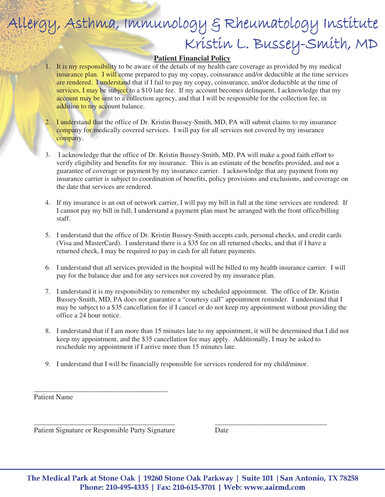### **Patient Financial Policy**

- 1. It is my responsibility to be aware of the details of my health care coverage as provided by my medical insurance plan. I will come prepared to pay my copay, coinsurance and/or deductible at the time services are rendered. I understand that if I fail to pay my copay, coinsurance, and/or deductible at the time of services, I may be subject to a \$10 late fee. If my account becomes delinquent, I acknowledge that my account may be sent to a collection agency, and that I will be responsible for the collection fee, in addition to my account balance.
- 2. I understand that the office of Dr. Kristin Bussey-Smith, MD, PA will submit claims to my insurance company for medically covered services. I will pay for all services not covered by my insurance company.
- 3. I acknowledge that the office of Dr. Kristin Bussey-Smith, MD, PA will make a good faith effort to verify eligibility and benefits for my insurance. This is an estimate of the benefits provided, and not a guarantee of coverage or payment by my insurance carrier. I acknowledge that any payment from my insurance carrier is subject to coordination of benefits, policy provisions and exclusions, and coverage on the date that services are rendered.
- 4. If my insurance is an out of network carrier, I will pay my bill in full at the time services are rendered. If I cannot pay my bill in full, I understand a payment plan must be arranged with the front office/billing staff.
- 5. I understand that the office of Dr. Kristin Bussey-Smith accepts cash, personal checks, and credit cards (Visa and MasterCard). I understand there is a \$35 fee on all returned checks, and that if I have a returned check, I may be required to pay in cash for all future payments.
- 6. I understand that all services provided in the hospital will be billed to my health insurance carrier. I will pay for the balance due and for any services not covered by my insurance plan.
- 7. I understand it is my responsibility to remember my scheduled appointment. The office of Dr. Kristin Bussey-Smith, MD, PA does not guarantee a "courtesy call" appointment reminder. I understand that I may be subject to a \$35 cancellation fee if I cancel or do not keep my appointment without providing the office a 24 hour notice.
- 8. I understand that if I am more than 15 minutes late to my appointment, it will be determined that I did not keep my appointment, and the \$35 cancellation fee may apply. Additionally, I may be asked to reschedule my appointment if I arrive more than 15 minutes late.
- 9. I understand that I will be financially responsible for services rendered for my child/minor.

\_\_\_\_\_\_\_\_\_\_\_\_\_\_\_\_\_\_\_\_\_\_\_\_\_\_\_\_\_\_\_\_\_\_\_\_\_\_\_ \_\_\_\_\_\_\_\_\_\_\_\_\_\_\_\_\_\_\_\_\_\_\_\_\_\_\_\_\_\_\_

Patient Name

Patient Signature or Responsible Party Signature Date

\_\_\_\_\_\_\_\_\_\_\_\_\_\_\_\_\_\_\_\_\_\_\_\_\_\_\_\_\_\_\_\_\_\_\_\_\_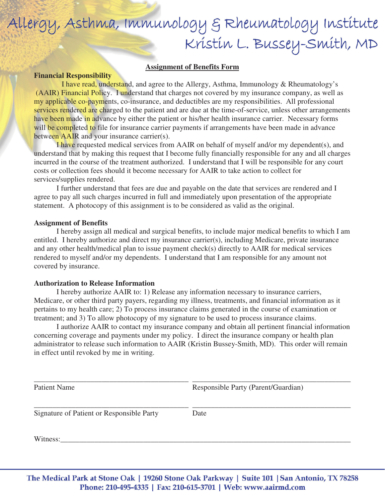#### **Assignment of Benefits Form**

#### **Financial Responsibility**

 I have read, understand, and agree to the Allergy, Asthma, Immunology & Rheumatology's (AAIR) Financial Policy. I understand that charges not covered by my insurance company, as well as my applicable co-payments, co-insurance, and deductibles are my responsibilities. All professional services rendered are charged to the patient and are due at the time-of-service, unless other arrangements have been made in advance by either the patient or his/her health insurance carrier. Necessary forms will be completed to file for insurance carrier payments if arrangements have been made in advance between AAIR and your insurance carrier(s).

I have requested medical services from AAIR on behalf of myself and/or my dependent(s), and understand that by making this request that I become fully financially responsible for any and all charges incurred in the course of the treatment authorized. I understand that I will be responsible for any court costs or collection fees should it become necessary for AAIR to take action to collect for services/supplies rendered.

I further understand that fees are due and payable on the date that services are rendered and I agree to pay all such charges incurred in full and immediately upon presentation of the appropriate statement. A photocopy of this assignment is to be considered as valid as the original.

#### **Assignment of Benefits**

I hereby assign all medical and surgical benefits, to include major medical benefits to which I am entitled. I hereby authorize and direct my insurance carrier(s), including Medicare, private insurance and any other health/medical plan to issue payment check(s) directly to AAIR for medical services rendered to myself and/or my dependents. I understand that I am responsible for any amount not covered by insurance.

#### **Authorization to Release Information**

I hereby authorize AAIR to: 1) Release any information necessary to insurance carriers, Medicare, or other third party payers, regarding my illness, treatments, and financial information as it pertains to my health care; 2) To process insurance claims generated in the course of examination or treatment; and 3) To allow photocopy of my signature to be used to process insurance claims.

I authorize AAIR to contact my insurance company and obtain all pertinent financial information concerning coverage and payments under my policy. I direct the insurance company or health plan administrator to release such information to AAIR (Kristin Bussey-Smith, MD). This order will remain in effect until revoked by me in writing.

| <b>Patient Name</b>                       | <b>Responsible Party (Parent/Guardian)</b> |  |
|-------------------------------------------|--------------------------------------------|--|
| Signature of Patient or Responsible Party | Date                                       |  |
| Witness:                                  |                                            |  |